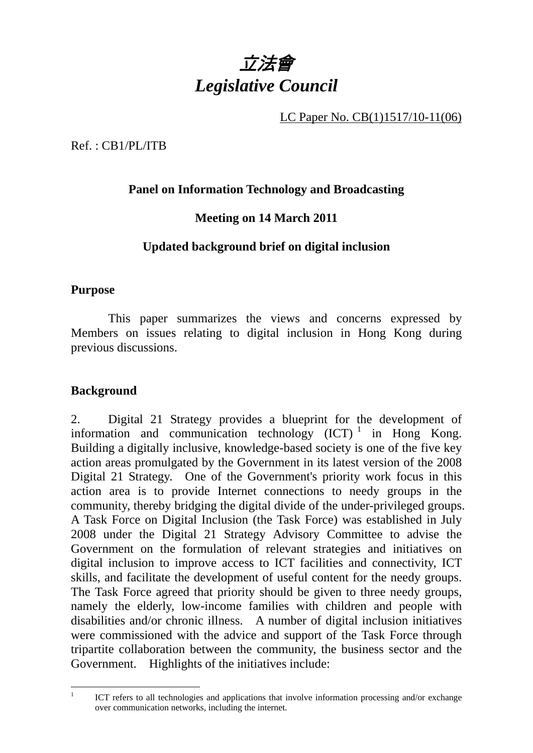

LC Paper No. CB(1)1517/10-11(06)

Ref. : CB1/PL/ITB

## **Panel on Information Technology and Broadcasting**

# **Meeting on 14 March 2011**

### **Updated background brief on digital inclusion**

### **Purpose**

This paper summarizes the views and concerns expressed by Members on issues relating to digital inclusion in Hong Kong during previous discussions.

### **Background**

2. Digital 21 Strategy provides a blueprint for the development of information and communication technology  $(ICT)^1$  in Hong Kong. Building a digitally inclusive, knowledge-based society is one of the five key action areas promulgated by the Government in its latest version of the 2008 Digital 21 Strategy. One of the Government's priority work focus in this action area is to provide Internet connections to needy groups in the community, thereby bridging the digital divide of the under-privileged groups. A Task Force on Digital Inclusion (the Task Force) was established in July 2008 under the Digital 21 Strategy Advisory Committee to advise the Government on the formulation of relevant strategies and initiatives on digital inclusion to improve access to ICT facilities and connectivity, ICT skills, and facilitate the development of useful content for the needy groups. The Task Force agreed that priority should be given to three needy groups, namely the elderly, low-income families with children and people with disabilities and/or chronic illness. A number of digital inclusion initiatives were commissioned with the advice and support of the Task Force through tripartite collaboration between the community, the business sector and the Government. Highlights of the initiatives include:

 $\frac{1}{1}$  ICT refers to all technologies and applications that involve information processing and/or exchange over communication networks, including the internet.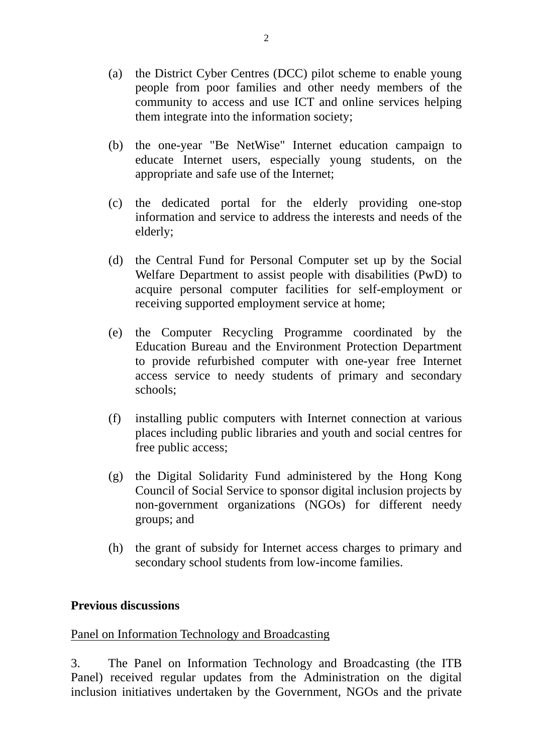- (a) the District Cyber Centres (DCC) pilot scheme to enable young people from poor families and other needy members of the community to access and use ICT and online services helping them integrate into the information society;
- (b) the one-year "Be NetWise" Internet education campaign to educate Internet users, especially young students, on the appropriate and safe use of the Internet;
- (c) the dedicated portal for the elderly providing one-stop information and service to address the interests and needs of the elderly;
- (d) the Central Fund for Personal Computer set up by the Social Welfare Department to assist people with disabilities (PwD) to acquire personal computer facilities for self-employment or receiving supported employment service at home;
- (e) the Computer Recycling Programme coordinated by the Education Bureau and the Environment Protection Department to provide refurbished computer with one-year free Internet access service to needy students of primary and secondary schools;
- (f) installing public computers with Internet connection at various places including public libraries and youth and social centres for free public access;
- (g) the Digital Solidarity Fund administered by the Hong Kong Council of Social Service to sponsor digital inclusion projects by non-government organizations (NGOs) for different needy groups; and
- (h) the grant of subsidy for Internet access charges to primary and secondary school students from low-income families.

#### **Previous discussions**

#### Panel on Information Technology and Broadcasting

3. The Panel on Information Technology and Broadcasting (the ITB Panel) received regular updates from the Administration on the digital inclusion initiatives undertaken by the Government, NGOs and the private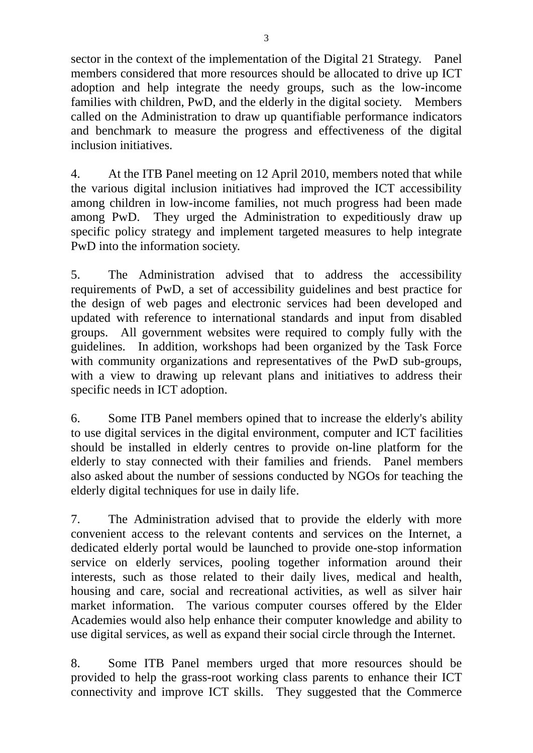sector in the context of the implementation of the Digital 21 Strategy. Panel members considered that more resources should be allocated to drive up ICT adoption and help integrate the needy groups, such as the low-income families with children, PwD, and the elderly in the digital society. Members called on the Administration to draw up quantifiable performance indicators and benchmark to measure the progress and effectiveness of the digital inclusion initiatives.

4. At the ITB Panel meeting on 12 April 2010, members noted that while the various digital inclusion initiatives had improved the ICT accessibility among children in low-income families, not much progress had been made among PwD. They urged the Administration to expeditiously draw up specific policy strategy and implement targeted measures to help integrate PwD into the information society.

5. The Administration advised that to address the accessibility requirements of PwD, a set of accessibility guidelines and best practice for the design of web pages and electronic services had been developed and updated with reference to international standards and input from disabled groups. All government websites were required to comply fully with the guidelines. In addition, workshops had been organized by the Task Force with community organizations and representatives of the PwD sub-groups, with a view to drawing up relevant plans and initiatives to address their specific needs in ICT adoption.

6. Some ITB Panel members opined that to increase the elderly's ability to use digital services in the digital environment, computer and ICT facilities should be installed in elderly centres to provide on-line platform for the elderly to stay connected with their families and friends. Panel members also asked about the number of sessions conducted by NGOs for teaching the elderly digital techniques for use in daily life.

7. The Administration advised that to provide the elderly with more convenient access to the relevant contents and services on the Internet, a dedicated elderly portal would be launched to provide one-stop information service on elderly services, pooling together information around their interests, such as those related to their daily lives, medical and health, housing and care, social and recreational activities, as well as silver hair market information. The various computer courses offered by the Elder Academies would also help enhance their computer knowledge and ability to use digital services, as well as expand their social circle through the Internet.

8. Some ITB Panel members urged that more resources should be provided to help the grass-root working class parents to enhance their ICT connectivity and improve ICT skills. They suggested that the Commerce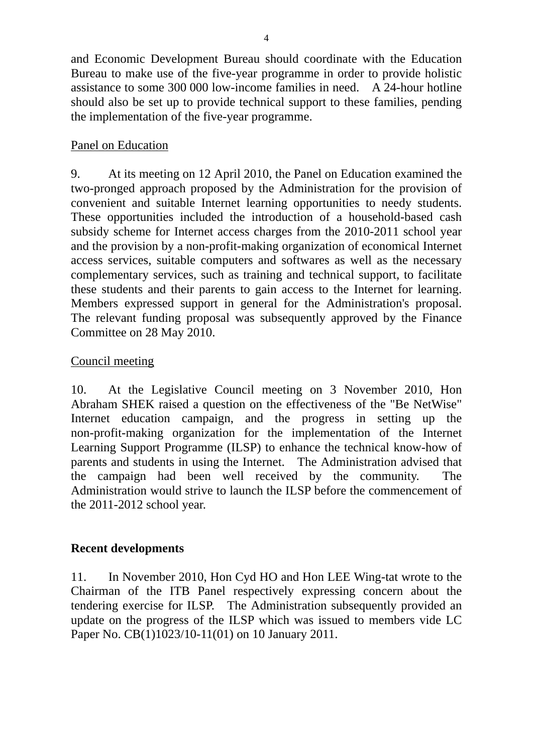and Economic Development Bureau should coordinate with the Education Bureau to make use of the five-year programme in order to provide holistic assistance to some 300 000 low-income families in need. A 24-hour hotline should also be set up to provide technical support to these families, pending the implementation of the five-year programme.

### Panel on Education

9. At its meeting on 12 April 2010, the Panel on Education examined the two-pronged approach proposed by the Administration for the provision of convenient and suitable Internet learning opportunities to needy students. These opportunities included the introduction of a household-based cash subsidy scheme for Internet access charges from the 2010-2011 school year and the provision by a non-profit-making organization of economical Internet access services, suitable computers and softwares as well as the necessary complementary services, such as training and technical support, to facilitate these students and their parents to gain access to the Internet for learning. Members expressed support in general for the Administration's proposal. The relevant funding proposal was subsequently approved by the Finance Committee on 28 May 2010.

### Council meeting

10. At the Legislative Council meeting on 3 November 2010, Hon Abraham SHEK raised a question on the effectiveness of the "Be NetWise" Internet education campaign, and the progress in setting up the non-profit-making organization for the implementation of the Internet Learning Support Programme (ILSP) to enhance the technical know-how of parents and students in using the Internet. The Administration advised that the campaign had been well received by the community. The Administration would strive to launch the ILSP before the commencement of the 2011-2012 school year.

## **Recent developments**

11. In November 2010, Hon Cyd HO and Hon LEE Wing-tat wrote to the Chairman of the ITB Panel respectively expressing concern about the tendering exercise for ILSP. The Administration subsequently provided an update on the progress of the ILSP which was issued to members vide LC Paper No. CB(1)1023/10-11(01) on 10 January 2011.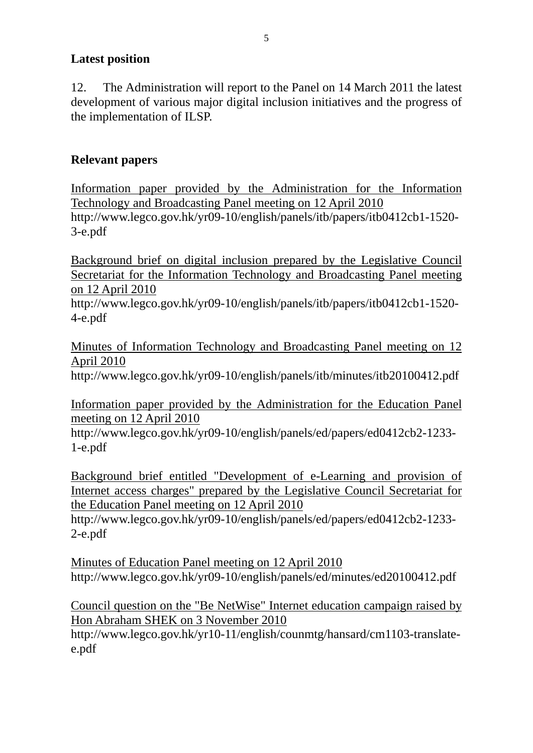### **Latest position**

12. The Administration will report to the Panel on 14 March 2011 the latest development of various major digital inclusion initiatives and the progress of the implementation of ILSP.

# **Relevant papers**

Information paper provided by the Administration for the Information Technology and Broadcasting Panel meeting on 12 April 2010 http://www.legco.gov.hk/yr09-10/english/panels/itb/papers/itb0412cb1-1520- 3-e.pdf

Background brief on digital inclusion prepared by the Legislative Council Secretariat for the Information Technology and Broadcasting Panel meeting on 12 April 2010

http://www.legco.gov.hk/yr09-10/english/panels/itb/papers/itb0412cb1-1520- 4-e.pdf

Minutes of Information Technology and Broadcasting Panel meeting on 12 April 2010

http://www.legco.gov.hk/yr09-10/english/panels/itb/minutes/itb20100412.pdf

Information paper provided by the Administration for the Education Panel meeting on 12 April 2010

http://www.legco.gov.hk/yr09-10/english/panels/ed/papers/ed0412cb2-1233- 1-e.pdf

Background brief entitled "Development of e-Learning and provision of Internet access charges" prepared by the Legislative Council Secretariat for the Education Panel meeting on 12 April 2010

http://www.legco.gov.hk/yr09-10/english/panels/ed/papers/ed0412cb2-1233- 2-e.pdf

Minutes of Education Panel meeting on 12 April 2010 http://www.legco.gov.hk/yr09-10/english/panels/ed/minutes/ed20100412.pdf

Council question on the "Be NetWise" Internet education campaign raised by Hon Abraham SHEK on 3 November 2010 http://www.legco.gov.hk/yr10-11/english/counmtg/hansard/cm1103-translatee.pdf